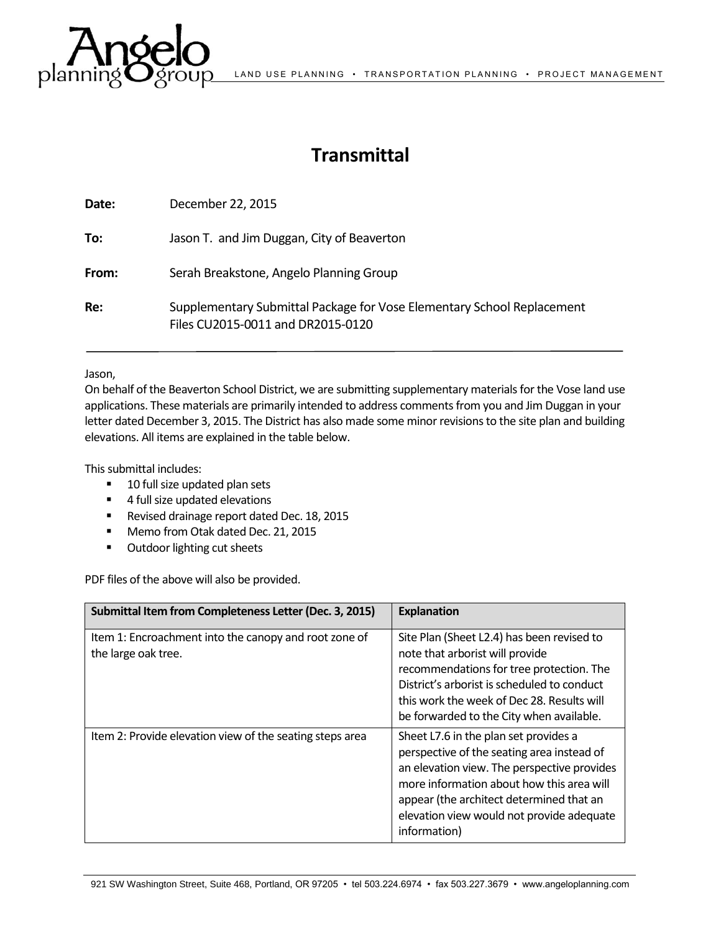

## **Transmittal**

| Date: | December 22, 2015                                                                                           |
|-------|-------------------------------------------------------------------------------------------------------------|
| To:   | Jason T. and Jim Duggan, City of Beaverton                                                                  |
| From: | Serah Breakstone, Angelo Planning Group                                                                     |
| Re:   | Supplementary Submittal Package for Vose Elementary School Replacement<br>Files CU2015-0011 and DR2015-0120 |

Jason,

On behalf of the Beaverton School District, we are submitting supplementary materials for the Vose land use applications. These materials are primarily intended to address comments from you and Jim Duggan in your letter dated December 3, 2015. The District has also made some minor revisions to the site plan and building elevations. All items are explained in the table below.

This submittal includes:

- **10 full size updated plan sets**
- **4 full size updated elevations**
- Revised drainage report dated Dec. 18, 2015
- Memo from Otak dated Dec. 21, 2015
- **•** Outdoor lighting cut sheets

PDF files of the above will also be provided.

| Submittal Item from Completeness Letter (Dec. 3, 2015)                       | <b>Explanation</b>                                                                                                                                                                                                                                                                       |
|------------------------------------------------------------------------------|------------------------------------------------------------------------------------------------------------------------------------------------------------------------------------------------------------------------------------------------------------------------------------------|
| Item 1: Encroachment into the canopy and root zone of<br>the large oak tree. | Site Plan (Sheet L2.4) has been revised to<br>note that arborist will provide<br>recommendations for tree protection. The<br>District's arborist is scheduled to conduct<br>this work the week of Dec 28. Results will<br>be forwarded to the City when available.                       |
| Item 2: Provide elevation view of the seating steps area                     | Sheet L7.6 in the plan set provides a<br>perspective of the seating area instead of<br>an elevation view. The perspective provides<br>more information about how this area will<br>appear (the architect determined that an<br>elevation view would not provide adequate<br>information) |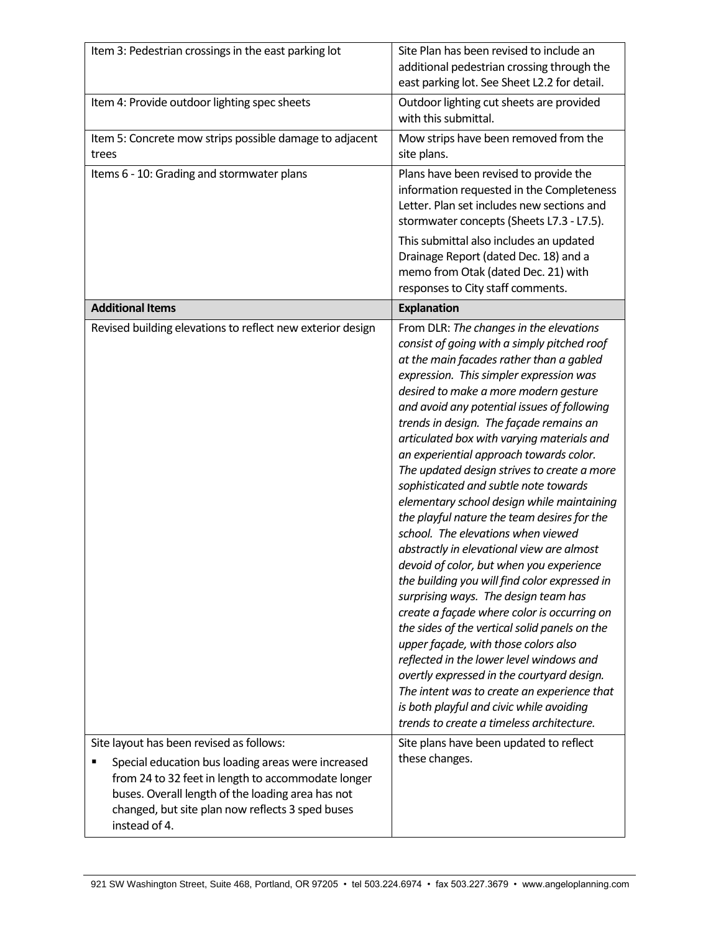| Item 3: Pedestrian crossings in the east parking lot                                                                                                                                                                                                                                             | Site Plan has been revised to include an<br>additional pedestrian crossing through the<br>east parking lot. See Sheet L2.2 for detail.                                                                                                                                                                                                                                                                                                                                                                                                                                                                                                                                                                                                                                                                                                                                                                                                                                                                                                                                                                                                                                                           |
|--------------------------------------------------------------------------------------------------------------------------------------------------------------------------------------------------------------------------------------------------------------------------------------------------|--------------------------------------------------------------------------------------------------------------------------------------------------------------------------------------------------------------------------------------------------------------------------------------------------------------------------------------------------------------------------------------------------------------------------------------------------------------------------------------------------------------------------------------------------------------------------------------------------------------------------------------------------------------------------------------------------------------------------------------------------------------------------------------------------------------------------------------------------------------------------------------------------------------------------------------------------------------------------------------------------------------------------------------------------------------------------------------------------------------------------------------------------------------------------------------------------|
| Item 4: Provide outdoor lighting spec sheets                                                                                                                                                                                                                                                     | Outdoor lighting cut sheets are provided<br>with this submittal.                                                                                                                                                                                                                                                                                                                                                                                                                                                                                                                                                                                                                                                                                                                                                                                                                                                                                                                                                                                                                                                                                                                                 |
| Item 5: Concrete mow strips possible damage to adjacent<br>trees                                                                                                                                                                                                                                 | Mow strips have been removed from the<br>site plans.                                                                                                                                                                                                                                                                                                                                                                                                                                                                                                                                                                                                                                                                                                                                                                                                                                                                                                                                                                                                                                                                                                                                             |
| Items 6 - 10: Grading and stormwater plans                                                                                                                                                                                                                                                       | Plans have been revised to provide the<br>information requested in the Completeness<br>Letter. Plan set includes new sections and<br>stormwater concepts (Sheets L7.3 - L7.5).                                                                                                                                                                                                                                                                                                                                                                                                                                                                                                                                                                                                                                                                                                                                                                                                                                                                                                                                                                                                                   |
|                                                                                                                                                                                                                                                                                                  | This submittal also includes an updated<br>Drainage Report (dated Dec. 18) and a<br>memo from Otak (dated Dec. 21) with<br>responses to City staff comments.                                                                                                                                                                                                                                                                                                                                                                                                                                                                                                                                                                                                                                                                                                                                                                                                                                                                                                                                                                                                                                     |
| <b>Additional Items</b>                                                                                                                                                                                                                                                                          | <b>Explanation</b>                                                                                                                                                                                                                                                                                                                                                                                                                                                                                                                                                                                                                                                                                                                                                                                                                                                                                                                                                                                                                                                                                                                                                                               |
| Revised building elevations to reflect new exterior design                                                                                                                                                                                                                                       | From DLR: The changes in the elevations<br>consist of going with a simply pitched roof<br>at the main facades rather than a gabled<br>expression. This simpler expression was<br>desired to make a more modern gesture<br>and avoid any potential issues of following<br>trends in design. The façade remains an<br>articulated box with varying materials and<br>an experiential approach towards color.<br>The updated design strives to create a more<br>sophisticated and subtle note towards<br>elementary school design while maintaining<br>the playful nature the team desires for the<br>school. The elevations when viewed<br>abstractly in elevational view are almost<br>devoid of color, but when you experience<br>the building you will find color expressed in<br>surprising ways. The design team has<br>create a façade where color is occurring on<br>the sides of the vertical solid panels on the<br>upper façade, with those colors also<br>reflected in the lower level windows and<br>overtly expressed in the courtyard design.<br>The intent was to create an experience that<br>is both playful and civic while avoiding<br>trends to create a timeless architecture. |
| Site layout has been revised as follows:<br>Special education bus loading areas were increased<br>$\blacksquare$<br>from 24 to 32 feet in length to accommodate longer<br>buses. Overall length of the loading area has not<br>changed, but site plan now reflects 3 sped buses<br>instead of 4. | Site plans have been updated to reflect<br>these changes.                                                                                                                                                                                                                                                                                                                                                                                                                                                                                                                                                                                                                                                                                                                                                                                                                                                                                                                                                                                                                                                                                                                                        |